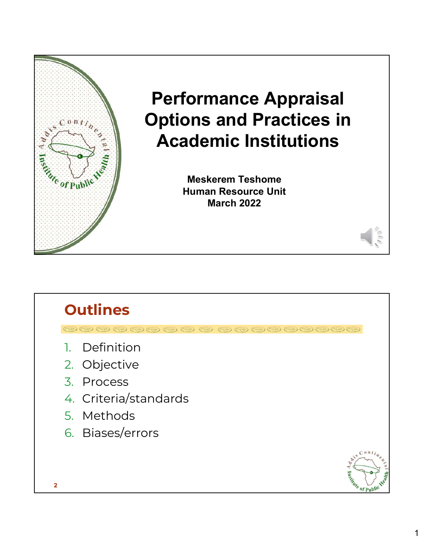

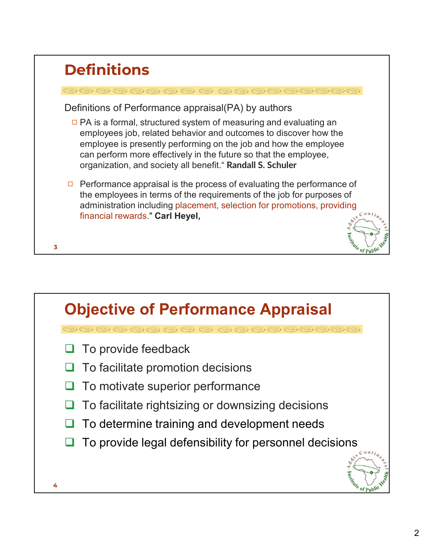|   | <b>Definitions</b>                                                                                                                                                                                                                                                                                                                                |
|---|---------------------------------------------------------------------------------------------------------------------------------------------------------------------------------------------------------------------------------------------------------------------------------------------------------------------------------------------------|
|   | $\circledcirc \circledcirc \circledcirc \circledcirc \circledcirc \circledcirc \circledcirc$                                                                                                                                                                                                                                                      |
|   | Definitions of Performance appraisal(PA) by authors                                                                                                                                                                                                                                                                                               |
|   | $\Box$ PA is a formal, structured system of measuring and evaluating an<br>employees job, related behavior and outcomes to discover how the<br>employee is presently performing on the job and how the employee<br>can perform more effectively in the future so that the employee,<br>organization, and society all benefit." Randall S. Schuler |
| 3 | Performance appraisal is the process of evaluating the performance of<br>the employees in terms of the requirements of the job for purposes of<br>administration including placement, selection for promotions, providing<br>financial rewards." Carl Heyel,                                                                                      |

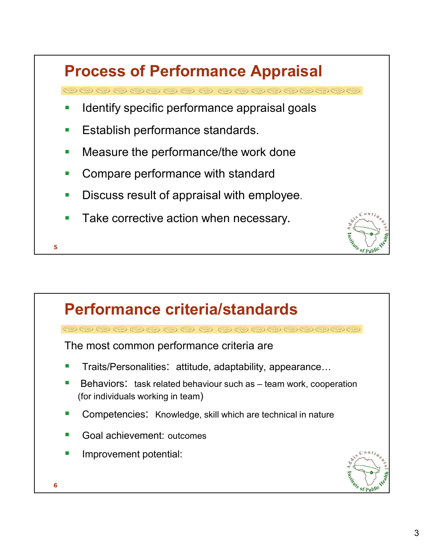## Process of Performance Appraisal<br>అఅఅఅఅఅఅఅల అలు అంతలు అంతలు<br>- Identify specific performance appraisal goals<br>- Establish performance standards.<br>- Measure the performance/the work done Process of Performance Appraisal

- 
- Establish performance standards.
- Measure the performance/the work done
- Compare performance with standard
- Discuss result of appraisal with employee.
- Take corrective action when necessary.

**5 1 1 1 1 1 1 1 1** 

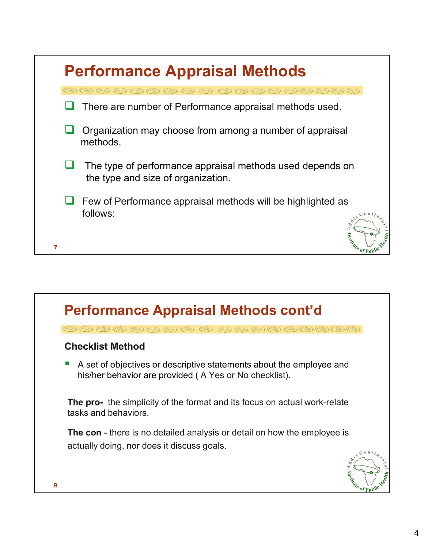|   | <b>Performance Appraisal Methods</b>                                                               |
|---|----------------------------------------------------------------------------------------------------|
|   | $\circledcirc\circledcirc\circledcirc\circledcirc\circledcirc\circledcirc\circledcirc\circledcirc$ |
|   | There are number of Performance appraisal methods used.                                            |
|   | Organization may choose from among a number of appraisal<br>methods.                               |
|   | The type of performance appraisal methods used depends on<br>the type and size of organization.    |
|   | Few of Performance appraisal methods will be highlighted as                                        |
| 7 | follows:                                                                                           |

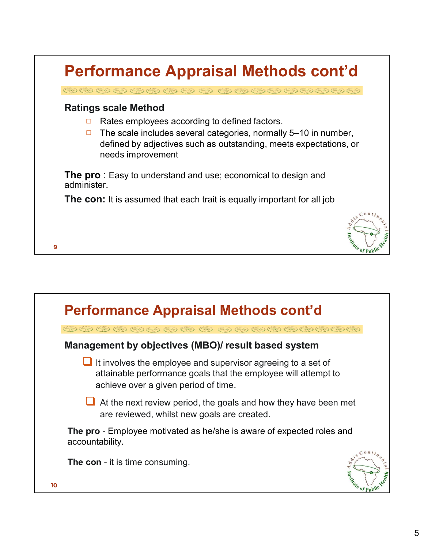

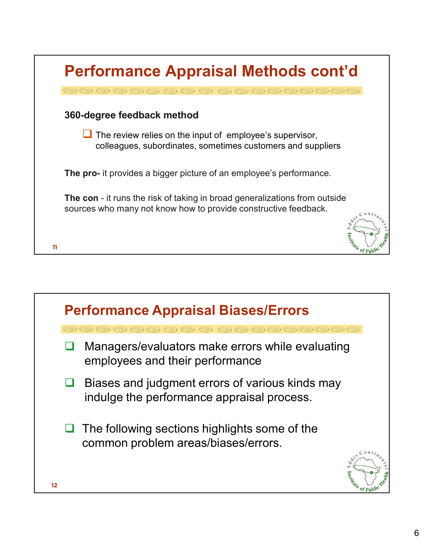| $\circledcirc\circledcirc\circledcirc\circledcirc\circledcirc\circledcirc\circledcirc\circledcirc$<br>360-degree feedback method<br>$\Box$ The review relies on the input of employee's supervisor,<br>colleagues, subordinates, sometimes customers and suppliers<br><b>The pro-</b> it provides a bigger picture of an employee's performance. |                           |
|--------------------------------------------------------------------------------------------------------------------------------------------------------------------------------------------------------------------------------------------------------------------------------------------------------------------------------------------------|---------------------------|
|                                                                                                                                                                                                                                                                                                                                                  |                           |
|                                                                                                                                                                                                                                                                                                                                                  |                           |
|                                                                                                                                                                                                                                                                                                                                                  |                           |
| <b>The con</b> - it runs the risk of taking in broad generalizations from outside<br>sources who many not know how to provide constructive feedback.                                                                                                                                                                                             | $\int$ onti <sub>ne</sub> |

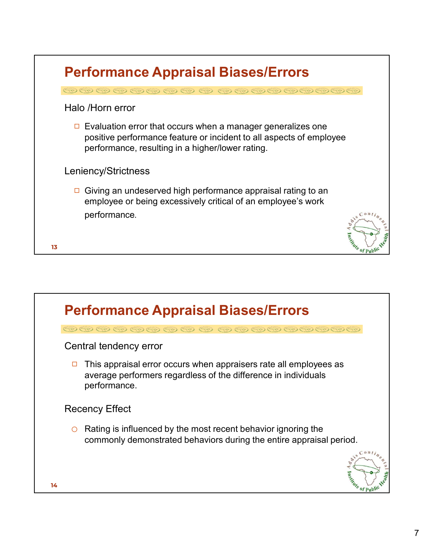| <b>Performance Appraisal Biases/Errors</b>                                                                                                                                                       |         |
|--------------------------------------------------------------------------------------------------------------------------------------------------------------------------------------------------|---------|
| $\circledcirc\circledcirc\circledcirc\circledcirc\circledcirc\circledcirc$                                                                                                                       |         |
| Halo /Horn error                                                                                                                                                                                 |         |
| Evaluation error that occurs when a manager generalizes one<br>$\Box$<br>positive performance feature or incident to all aspects of employee<br>performance, resulting in a higher/lower rating. |         |
| Leniency/Strictness                                                                                                                                                                              |         |
| Giving an undeserved high performance appraisal rating to an<br>employee or being excessively critical of an employee's work                                                                     |         |
| performance.                                                                                                                                                                                     |         |
| 13                                                                                                                                                                                               | Indiana |

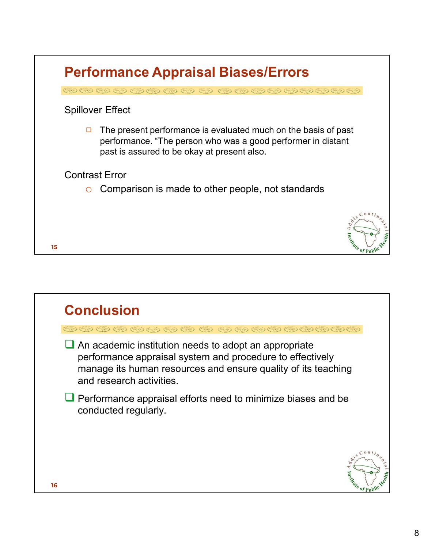